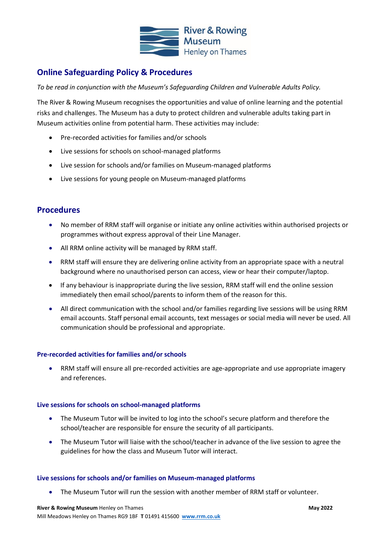

# **Online Safeguarding Policy & Procedures**

*To be read in conjunction with the Museum's Safeguarding Children and Vulnerable Adults Policy.*

The River & Rowing Museum recognises the opportunities and value of online learning and the potential risks and challenges. The Museum has a duty to protect children and vulnerable adults taking part in Museum activities online from potential harm. These activities may include:

- Pre-recorded activities for families and/or schools
- Live sessions for schools on school-managed platforms
- Live session for schools and/or families on Museum-managed platforms
- Live sessions for young people on Museum-managed platforms

## **Procedures**

- No member of RRM staff will organise or initiate any online activities within authorised projects or programmes without express approval of their Line Manager.
- All RRM online activity will be managed by RRM staff.
- RRM staff will ensure they are delivering online activity from an appropriate space with a neutral background where no unauthorised person can access, view or hear their computer/laptop.
- If any behaviour is inappropriate during the live session, RRM staff will end the online session immediately then email school/parents to inform them of the reason for this.
- All direct communication with the school and/or families regarding live sessions will be using RRM email accounts. Staff personal email accounts, text messages or social media will never be used. All communication should be professional and appropriate.

## **Pre-recorded activities for families and/or schools**

• RRM staff will ensure all pre-recorded activities are age-appropriate and use appropriate imagery and references.

## **Live sessions for schools on school-managed platforms**

- The Museum Tutor will be invited to log into the school's secure platform and therefore the school/teacher are responsible for ensure the security of all participants.
- The Museum Tutor will liaise with the school/teacher in advance of the live session to agree the guidelines for how the class and Museum Tutor will interact.

## **Live sessions for schools and/or families on Museum-managed platforms**

• The Museum Tutor will run the session with another member of RRM staff or volunteer.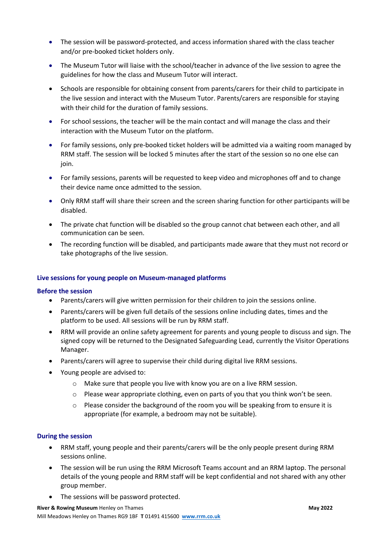- The session will be password-protected, and access information shared with the class teacher and/or pre-booked ticket holders only.
- The Museum Tutor will liaise with the school/teacher in advance of the live session to agree the guidelines for how the class and Museum Tutor will interact.
- Schools are responsible for obtaining consent from parents/carers for their child to participate in the live session and interact with the Museum Tutor. Parents/carers are responsible for staying with their child for the duration of family sessions.
- For school sessions, the teacher will be the main contact and will manage the class and their interaction with the Museum Tutor on the platform.
- For family sessions, only pre-booked ticket holders will be admitted via a waiting room managed by RRM staff. The session will be locked 5 minutes after the start of the session so no one else can join.
- For family sessions, parents will be requested to keep video and microphones off and to change their device name once admitted to the session.
- Only RRM staff will share their screen and the screen sharing function for other participants will be disabled.
- The private chat function will be disabled so the group cannot chat between each other, and all communication can be seen.
- The recording function will be disabled, and participants made aware that they must not record or take photographs of the live session.

## **Live sessions for young people on Museum-managed platforms**

## **Before the session**

- Parents/carers will give written permission for their children to join the sessions online.
- Parents/carers will be given full details of the sessions online including dates, times and the platform to be used. All sessions will be run by RRM staff.
- RRM will provide an online safety agreement for parents and young people to discuss and sign. The signed copy will be returned to the Designated Safeguarding Lead, currently the Visitor Operations Manager.
- Parents/carers will agree to supervise their child during digital live RRM sessions.
- Young people are advised to:
	- o Make sure that people you live with know you are on a live RRM session.
	- o Please wear appropriate clothing, even on parts of you that you think won't be seen.
	- o Please consider the background of the room you will be speaking from to ensure it is appropriate (for example, a bedroom may not be suitable).

## **During the session**

- RRM staff, young people and their parents/carers will be the only people present during RRM sessions online.
- The session will be run using the RRM Microsoft Teams account and an RRM laptop. The personal details of the young people and RRM staff will be kept confidential and not shared with any other group member.
- The sessions will be password protected.